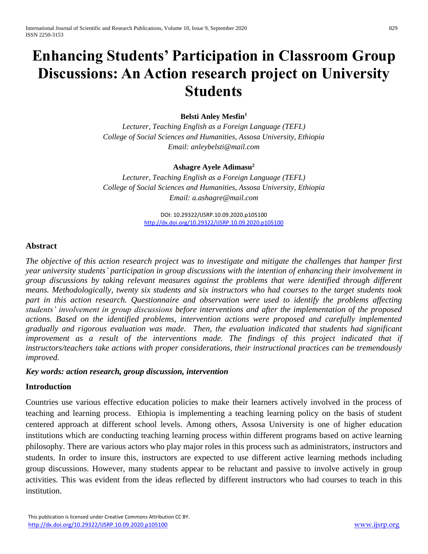# **Enhancing Students' Participation in Classroom Group Discussions: An Action research project on University Students**

#### **Belsti Anley Mesfin<sup>1</sup>**

*Lecturer, Teaching English as a Foreign Language (TEFL) College of Social Sciences and Humanities, Assosa University, Ethiopia Email: anleybelsti@mail.com*

#### **Ashagre Ayele Adimasu<sup>2</sup>**

*Lecturer, Teaching English as a Foreign Language (TEFL) College of Social Sciences and Humanities, Assosa University, Ethiopia Email: a.ashagre@mail.com*

> DOI: 10.29322/IJSRP.10.09.2020.p105100 <http://dx.doi.org/10.29322/IJSRP.10.09.2020.p105100>

#### **Abstract**

*The objective of this action research project was to investigate and mitigate the challenges that hamper first year university students' participation in group discussions with the intention of enhancing their involvement in group discussions by taking relevant measures against the problems that were identified through different means. Methodologically, twenty six students and six instructors who had courses to the target students took part in this action research. Questionnaire and observation were used to identify the problems affecting students' involvement in group discussions before interventions and after the implementation of the proposed actions. Based on the identified problems, intervention actions were proposed and carefully implemented gradually and rigorous evaluation was made. Then, the evaluation indicated that students had significant improvement as a result of the interventions made. The findings of this project indicated that if instructors/teachers take actions with proper considerations, their instructional practices can be tremendously improved.*

#### *Key words: action research, group discussion, intervention*

#### **Introduction**

Countries use various effective education policies to make their learners actively involved in the process of teaching and learning process. Ethiopia is implementing a teaching learning policy on the basis of student centered approach at different school levels. Among others, Assosa University is one of higher education institutions which are conducting teaching learning process within different programs based on active learning philosophy. There are various actors who play major roles in this process such as administrators, instructors and students. In order to insure this, instructors are expected to use different active learning methods including group discussions. However, many students appear to be reluctant and passive to involve actively in group activities. This was evident from the ideas reflected by different instructors who had courses to teach in this institution.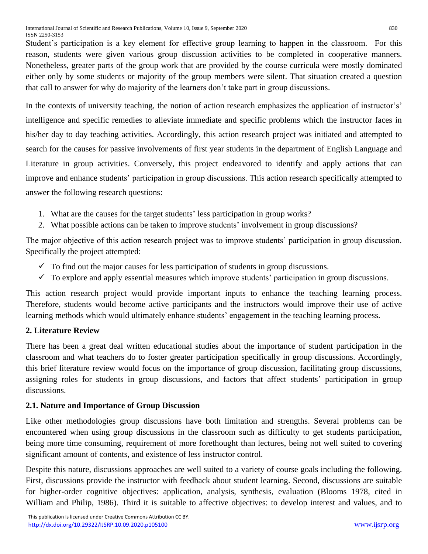Student's participation is a key element for effective group learning to happen in the classroom. For this reason, students were given various group discussion activities to be completed in cooperative manners. Nonetheless, greater parts of the group work that are provided by the course curricula were mostly dominated either only by some students or majority of the group members were silent. That situation created a question that call to answer for why do majority of the learners don't take part in group discussions.

In the contexts of university teaching, the notion of action research emphasizes the application of instructor's' intelligence and specific remedies to alleviate immediate and specific problems which the instructor faces in his/her day to day teaching activities. Accordingly, this action research project was initiated and attempted to search for the causes for passive involvements of first year students in the department of English Language and Literature in group activities. Conversely, this project endeavored to identify and apply actions that can improve and enhance students' participation in group discussions. This action research specifically attempted to answer the following research questions:

- 1. What are the causes for the target students' less participation in group works?
- 2. What possible actions can be taken to improve students' involvement in group discussions?

The major objective of this action research project was to improve students' participation in group discussion. Specifically the project attempted:

- $\checkmark$  To find out the major causes for less participation of students in group discussions.
- $\checkmark$  To explore and apply essential measures which improve students' participation in group discussions.

This action research project would provide important inputs to enhance the teaching learning process. Therefore, students would become active participants and the instructors would improve their use of active learning methods which would ultimately enhance students' engagement in the teaching learning process.

# **2. Literature Review**

There has been a great deal written educational studies about the importance of student participation in the classroom and what teachers do to foster greater participation specifically in group discussions. Accordingly, this brief literature review would focus on the importance of group discussion, facilitating group discussions, assigning roles for students in group discussions, and factors that affect students' participation in group discussions.

# **2.1. Nature and Importance of Group Discussion**

Like other methodologies group discussions have both limitation and strengths. Several problems can be encountered when using group discussions in the classroom such as difficulty to get students participation, being more time consuming, requirement of more forethought than lectures, being not well suited to covering significant amount of contents, and existence of less instructor control.

Despite this nature, discussions approaches are well suited to a variety of course goals including the following. First, discussions provide the instructor with feedback about student learning. Second, discussions are suitable for higher-order cognitive objectives: application, analysis, synthesis, evaluation (Blooms 1978, cited in William and Philip, 1986). Third it is suitable to affective objectives: to develop interest and values, and to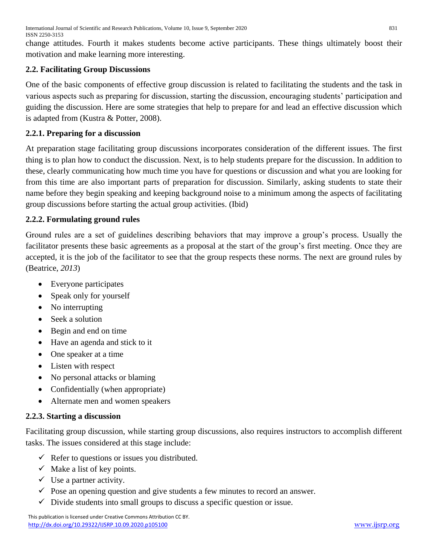change attitudes. Fourth it makes students become active participants. These things ultimately boost their motivation and make learning more interesting.

# **2.2. Facilitating Group Discussions**

One of the basic components of effective group discussion is related to facilitating the students and the task in various aspects such as preparing for discussion, starting the discussion, encouraging students' participation and guiding the discussion. Here are some strategies that help to prepare for and lead an effective discussion which is adapted from (Kustra & Potter, 2008).

# **2.2.1. Preparing for a discussion**

At preparation stage facilitating group discussions incorporates consideration of the different issues. The first thing is to plan how to conduct the discussion. Next, is to help students prepare for the discussion. In addition to these, clearly communicating how much time you have for questions or discussion and what you are looking for from this time are also important parts of preparation for discussion. Similarly, asking students to state their name before they begin speaking and keeping background noise to a minimum among the aspects of facilitating group discussions before starting the actual group activities. (Ibid)

# **2.2.2. Formulating ground rules**

Ground rules are a set of guidelines describing behaviors that may improve a group's process. Usually the facilitator presents these basic agreements as a proposal at the start of the group's first meeting. Once they are accepted, it is the job of the facilitator to see that the group respects these norms. The next are ground rules by (Beatrice, *2013*)

- Everyone participates
- Speak only for yourself
- No interrupting
- Seek a solution
- Begin and end on time
- Have an agenda and stick to it
- One speaker at a time
- Listen with respect
- No personal attacks or blaming
- Confidentially (when appropriate)
- Alternate men and women speakers

# **2.2.3. Starting a discussion**

Facilitating group discussion, while starting group discussions, also requires instructors to accomplish different tasks. The issues considered at this stage include:

- $\checkmark$  Refer to questions or issues you distributed.
- $\checkmark$  Make a list of key points.
- $\checkmark$  Use a partner activity.
- $\checkmark$  Pose an opening question and give students a few minutes to record an answer.
- $\checkmark$  Divide students into small groups to discuss a specific question or issue.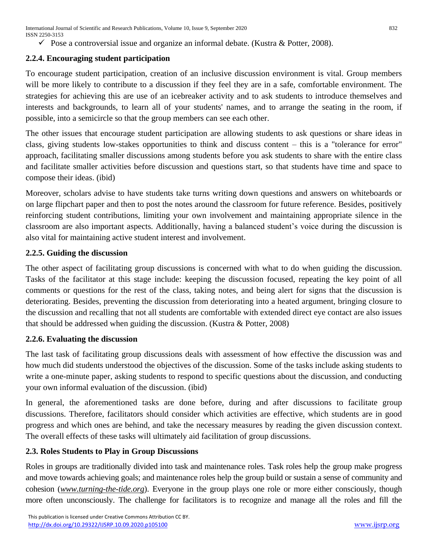$\checkmark$  Pose a controversial issue and organize an informal debate. (Kustra & Potter, 2008).

## **2.2.4. Encouraging student participation**

To encourage student participation, creation of an inclusive discussion environment is vital. Group members will be more likely to contribute to a discussion if they feel they are in a safe, comfortable environment. The strategies for achieving this are use of an icebreaker activity and to ask students to introduce themselves and interests and backgrounds, to learn all of your students' names, and to arrange the seating in the room, if possible, into a semicircle so that the group members can see each other.

The other issues that encourage student participation are allowing students to ask questions or share ideas in class, giving students low-stakes opportunities to think and discuss content – this is a "tolerance for error" approach, facilitating smaller discussions among students before you ask students to share with the entire class and facilitate smaller activities before discussion and questions start, so that students have time and space to compose their ideas. (ibid)

Moreover, scholars advise to have students take turns writing down questions and answers on whiteboards or on large flipchart paper and then to post the notes around the classroom for future reference. Besides, positively reinforcing student contributions, limiting your own involvement and maintaining appropriate silence in the classroom are also important aspects. Additionally, having a balanced student's voice during the discussion is also vital for maintaining active student interest and involvement.

#### **2.2.5. Guiding the discussion**

The other aspect of facilitating group discussions is concerned with what to do when guiding the discussion. Tasks of the facilitator at this stage include: keeping the discussion focused, repeating the key point of all comments or questions for the rest of the class, taking notes, and being alert for signs that the discussion is deteriorating. Besides, preventing the discussion from deteriorating into a heated argument, bringing closure to the discussion and recalling that not all students are comfortable with extended direct eye contact are also issues that should be addressed when guiding the discussion. (Kustra & Potter, 2008)

#### **2.2.6. Evaluating the discussion**

The last task of facilitating group discussions deals with assessment of how effective the discussion was and how much did students understood the objectives of the discussion. Some of the tasks include asking students to write a one-minute paper, asking students to respond to specific questions about the discussion, and conducting your own informal evaluation of the discussion. (ibid)

In general, the aforementioned tasks are done before, during and after discussions to facilitate group discussions. Therefore, facilitators should consider which activities are effective, which students are in good progress and which ones are behind, and take the necessary measures by reading the given discussion context. The overall effects of these tasks will ultimately aid facilitation of group discussions.

#### **2.3. Roles Students to Play in Group Discussions**

Roles in groups are traditionally divided into task and maintenance roles. Task roles help the group make progress and move towards achieving goals; and maintenance roles help the group build or sustain a sense of community and cohesion (*[www.turning-the-tide.org](http://www.turning-the-tide.org/)*). Everyone in the group plays one role or more either consciously, though more often unconsciously. The challenge for facilitators is to recognize and manage all the roles and fill the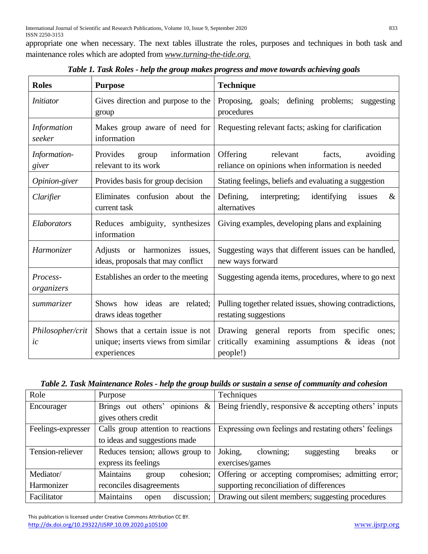appropriate one when necessary. The next tables illustrate the roles, purposes and techniques in both task and maintenance roles which are adopted from *[www.turning-the-tide.org.](http://www.turning-the-tide.org/)*

| <b>Roles</b>           | <b>Purpose</b>                                                                         | <b>Technique</b>                                                                                                           |
|------------------------|----------------------------------------------------------------------------------------|----------------------------------------------------------------------------------------------------------------------------|
| <i>Initiator</i>       | Gives direction and purpose to the<br>group                                            | Proposing, goals; defining problems;<br>suggesting<br>procedures                                                           |
| Information<br>seeker  | Makes group aware of need for<br>information                                           | Requesting relevant facts; asking for clarification                                                                        |
| Information-<br>giver  | information<br>Provides<br>group<br>relevant to its work                               | Offering<br>relevant<br>facts,<br>avoiding<br>reliance on opinions when information is needed                              |
| Opinion-giver          | Provides basis for group decision                                                      | Stating feelings, beliefs and evaluating a suggestion                                                                      |
| Clarifier              | Eliminates confusion about the<br>current task                                         | Defining,<br>interpreting;<br>identifying<br>issues<br>$\&$<br>alternatives                                                |
| Elaborators            | Reduces ambiguity, synthesizes<br>information                                          | Giving examples, developing plans and explaining                                                                           |
| Harmonizer             | Adjusts or harmonizes<br>issues,<br>ideas, proposals that may conflict                 | Suggesting ways that different issues can be handled,<br>new ways forward                                                  |
| Process-<br>organizers | Establishes an order to the meeting                                                    | Suggesting agenda items, procedures, where to go next                                                                      |
| <i>summarizer</i>      | Shows how ideas<br>are related;<br>draws ideas together                                | Pulling together related issues, showing contradictions,<br>restating suggestions                                          |
| Philosopher/crit<br>ic | Shows that a certain issue is not<br>unique; inserts views from similar<br>experiences | Drawing general reports from<br>specific<br>ones;<br>critically<br>examining assumptions<br>$\&$ ideas<br>(not<br>people!) |

*Table 1. Task Roles - help the group makes progress and move towards achieving goals*

| Role               | Purpose                                 | Techniques                                               |
|--------------------|-----------------------------------------|----------------------------------------------------------|
| Encourager         | opinions<br>Brings out others'<br>$\&$  | Being friendly, responsive $\&$ accepting others' inputs |
|                    | gives others credit                     |                                                          |
| Feelings-expresser | Calls group attention to reactions      | Expressing own feelings and restating others' feelings   |
|                    | to ideas and suggestions made           |                                                          |
| Tension-reliever   | Reduces tension; allows group to        | Joking,<br>clowning;<br>breaks<br>suggesting<br>or       |
|                    | express its feelings                    | exercises/games                                          |
| Mediator/          | <b>Maintains</b><br>cohesion;<br>group  | Offering or accepting compromises; admitting error;      |
| Harmonizer         | reconciles disagreements                | supporting reconciliation of differences                 |
| Facilitator        | <b>Maintains</b><br>discussion;<br>open | Drawing out silent members; suggesting procedures        |

 This publication is licensed under Creative Commons Attribution CC BY. <http://dx.doi.org/10.29322/IJSRP.10.09.2020.p105100> [www.ijsrp.org](http://ijsrp.org/)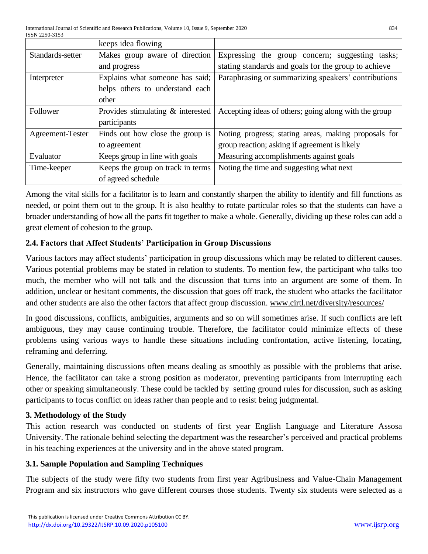|                  | keeps idea flowing                   |                                                       |
|------------------|--------------------------------------|-------------------------------------------------------|
| Standards-setter | Makes group aware of direction       | Expressing the group concern; suggesting tasks;       |
|                  | and progress                         | stating standards and goals for the group to achieve  |
| Interpreter      | Explains what someone has said;      | Paraphrasing or summarizing speakers' contributions   |
|                  | helps others to understand each      |                                                       |
|                  | other                                |                                                       |
| Follower         | Provides stimulating $\&$ interested | Accepting ideas of others; going along with the group |
|                  | participants                         |                                                       |
| Agreement-Tester | Finds out how close the group is     | Noting progress; stating areas, making proposals for  |
|                  | to agreement                         | group reaction; asking if agreement is likely         |
| Evaluator        | Keeps group in line with goals       | Measuring accomplishments against goals               |
| Time-keeper      | Keeps the group on track in terms    | Noting the time and suggesting what next              |
|                  | of agreed schedule                   |                                                       |

Among the vital skills for a facilitator is to learn and constantly sharpen the ability to identify and fill functions as needed, or point them out to the group. It is also healthy to rotate particular roles so that the students can have a broader understanding of how all the parts fit together to make a whole. Generally, dividing up these roles can add a great element of cohesion to the group.

# **2.4. Factors that Affect Students' Participation in Group Discussions**

Various factors may affect students' participation in group discussions which may be related to different causes. Various potential problems may be stated in relation to students. To mention few, the participant who talks too much, the member who will not talk and the discussion that turns into an argument are some of them. In addition, unclear or hesitant comments, the discussion that goes off track, the student who attacks the facilitator and other students are also the other factors that affect group discussion. [www.cirtl.net/diversity/resources/](http://www.cirtl.net/Diversity/Resources/)

In good discussions, conflicts, ambiguities, arguments and so on will sometimes arise. If such conflicts are left ambiguous, they may cause continuing trouble. Therefore, the facilitator could minimize effects of these problems using various ways to handle these situations including confrontation, active listening, locating, reframing and deferring.

Generally, maintaining discussions often means dealing as smoothly as possible with the problems that arise. Hence, the facilitator can take a strong position as moderator, preventing participants from interrupting each other or speaking simultaneously. These could be tackled by setting ground rules for discussion, such as asking participants to focus conflict on ideas rather than people and to resist being judgmental.

# **3. Methodology of the Study**

This action research was conducted on students of first year English Language and Literature Assosa University. The rationale behind selecting the department was the researcher's perceived and practical problems in his teaching experiences at the university and in the above stated program.

# **3.1. Sample Population and Sampling Techniques**

The subjects of the study were fifty two students from first year Agribusiness and Value-Chain Management Program and six instructors who gave different courses those students. Twenty six students were selected as a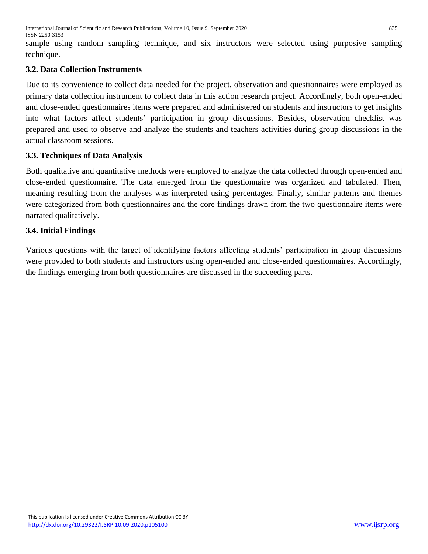sample using random sampling technique, and six instructors were selected using purposive sampling technique.

# **3.2. Data Collection Instruments**

Due to its convenience to collect data needed for the project, observation and questionnaires were employed as primary data collection instrument to collect data in this action research project. Accordingly, both open-ended and close-ended questionnaires items were prepared and administered on students and instructors to get insights into what factors affect students' participation in group discussions. Besides, observation checklist was prepared and used to observe and analyze the students and teachers activities during group discussions in the actual classroom sessions.

# **3.3. Techniques of Data Analysis**

Both qualitative and quantitative methods were employed to analyze the data collected through open-ended and close-ended questionnaire. The data emerged from the questionnaire was organized and tabulated. Then, meaning resulting from the analyses was interpreted using percentages. Finally, similar patterns and themes were categorized from both questionnaires and the core findings drawn from the two questionnaire items were narrated qualitatively.

# **3.4. Initial Findings**

Various questions with the target of identifying factors affecting students' participation in group discussions were provided to both students and instructors using open-ended and close-ended questionnaires. Accordingly, the findings emerging from both questionnaires are discussed in the succeeding parts.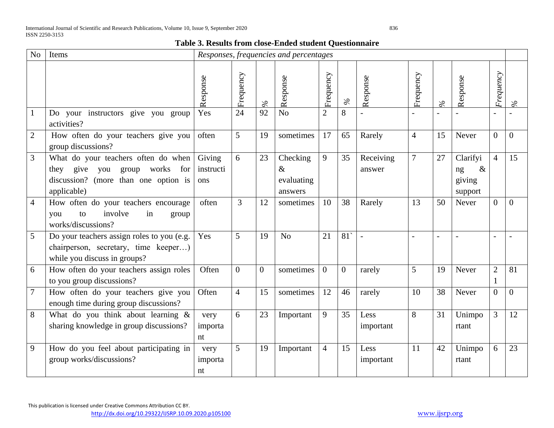#### **Table 3. Results from close-Ended student Questionnaire**

| N <sub>o</sub> | Items                                                                                                                                   |                            |                |          | Responses, frequencies and percentages    |                |                |                     |                |                          |                                             |                |                |
|----------------|-----------------------------------------------------------------------------------------------------------------------------------------|----------------------------|----------------|----------|-------------------------------------------|----------------|----------------|---------------------|----------------|--------------------------|---------------------------------------------|----------------|----------------|
|                |                                                                                                                                         | Response                   | Frequency      | $\%$     | Response                                  | Frequency      | $\%$           | Response            | Frequency      | $\%$                     | Response                                    | Frequency      | $\%$           |
|                | Do your instructors give you group<br>activities?                                                                                       | Yes                        | 24             | 92       | N <sub>o</sub>                            | $\overline{2}$ | 8              |                     |                |                          |                                             |                |                |
| $\overline{2}$ | How often do your teachers give you<br>group discussions?                                                                               | often                      | 5              | 19       | sometimes                                 | 17             | 65             | Rarely              | $\overline{4}$ | 15                       | Never                                       | $\overline{0}$ | $\overline{0}$ |
| 3              | What do your teachers often do when<br>give<br>works<br>for<br>you group<br>they<br>discussion? (more than one option is<br>applicable) | Giving<br>instructi<br>ons | 6              | 23       | Checking<br>$\&$<br>evaluating<br>answers | 9              | 35             | Receiving<br>answer | $\overline{7}$ | 27                       | Clarifyi<br>$\&$<br>ng<br>giving<br>support | $\overline{4}$ | 15             |
| 4              | How often do your teachers encourage<br>involve<br>in<br>to<br>you<br>group<br>works/discussions?                                       | often                      | $\overline{3}$ | 12       | sometimes                                 | 10             | 38             | Rarely              | 13             | 50                       | Never                                       | $\overline{0}$ | $\Omega$       |
| 5              | Do your teachers assign roles to you (e.g.<br>chairperson, secretary, time keeper)<br>while you discuss in groups?                      | Yes                        | 5              | 19       | N <sub>o</sub>                            | 21             | 81             |                     |                | $\overline{\phantom{a}}$ |                                             |                |                |
| 6              | How often do your teachers assign roles<br>to you group discussions?                                                                    | Often                      | $\Omega$       | $\theta$ | sometimes                                 | $\theta$       | $\overline{0}$ | rarely              | 5              | 19                       | Never                                       | $\overline{2}$ | 81             |
| $\tau$         | How often do your teachers give you<br>enough time during group discussions?                                                            | Often                      | $\overline{4}$ | 15       | sometimes                                 | 12             | 46             | rarely              | 10             | 38                       | Never                                       | $\overline{0}$ | $\overline{0}$ |
| 8              | What do you think about learning $\&$<br>sharing knowledge in group discussions?                                                        | very<br>importa<br>nt      | 6              | 23       | Important                                 | 9              | 35             | Less<br>important   | 8              | 31                       | Unimpo<br>rtant                             | 3              | 12             |
| 9              | How do you feel about participating in<br>group works/discussions?                                                                      | very<br>importa<br>nt      | 5              | 19       | Important                                 | $\overline{4}$ | 15             | Less<br>important   | 11             | 42                       | Unimpo<br>rtant                             | 6              | 23             |

This publication is licensed under Creative Commons Attribution CC BY.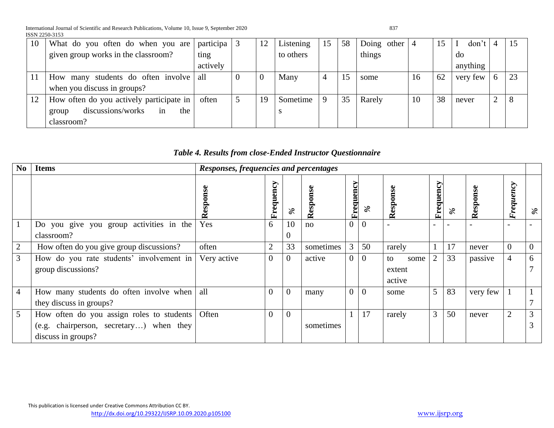International Journal of Scientific and Research Publications, Volume 10, Issue 9, September 2020 837 ISSN 2250-3153

| 10 | What do you often do when you are        | participa | 12 | Listening | 15 | 58 | Doing other $ 4$ |    | 15 | don't    |        |    |
|----|------------------------------------------|-----------|----|-----------|----|----|------------------|----|----|----------|--------|----|
|    | given group works in the classroom?      | ting      |    | to others |    |    | things           |    |    | do       |        |    |
|    |                                          | actively  |    |           |    |    |                  |    |    | anything |        |    |
|    | many students do often involve<br>How    | all       |    | Many      | 4  |    | some             | 16 | 62 | very few | 6      | 23 |
|    | when you discuss in groups?              |           |    |           |    |    |                  |    |    |          |        |    |
|    | How often do you actively participate in | often     | 19 | Sometime  | 9  | 35 | Rarely           | 10 | 38 | never    | ↑<br>∠ |    |
|    | discussions/works<br>the<br>in<br>group  |           |    |           |    |    |                  |    |    |          |        |    |
|    | classroom?                               |           |    |           |    |    |                  |    |    |          |        |    |

# *Table 4. Results from close-Ended Instructor Questionnaire*

| N <sub>0</sub>  | <b>Items</b>                              | Responses, frequencies and percentages |                  |                |               |                |              |              |                |      |          |                                                         |      |
|-----------------|-------------------------------------------|----------------------------------------|------------------|----------------|---------------|----------------|--------------|--------------|----------------|------|----------|---------------------------------------------------------|------|
|                 |                                           | ≃                                      | Frequency        | $\%$           | Φ<br>Response | Frequency      | $\%$         | esponse<br>≃ | quency<br>E    | $\%$ | Response | $\mathcal{L}$<br>$\boldsymbol{\mathit{en}}$<br>equ<br>È | $\%$ |
|                 | Do you give you group activities in the   | Yes                                    | 6                | 10             | no            | $\overline{0}$ | $\Omega$     |              |                |      |          |                                                         |      |
|                 | classroom?                                |                                        |                  | $\overline{0}$ |               |                |              |              |                |      |          |                                                         |      |
| $\overline{2}$  | How often do you give group discussions?  | often                                  | $\overline{2}$   | 33             | sometimes     | $\mathfrak{Z}$ | 50           | rarely       |                | 17   | never    | $\overline{0}$                                          |      |
| 3               | How do you rate students' involvement in  | Very active                            | $\boldsymbol{0}$ | $\overline{0}$ | active        | $\overline{0}$ | $\theta$     | to<br>some   | $\overline{2}$ | 33   | passive  | $\overline{4}$                                          | 6    |
|                 | group discussions?                        |                                        |                  |                |               |                |              | extent       |                |      |          |                                                         |      |
|                 |                                           |                                        |                  |                |               |                |              | active       |                |      |          |                                                         |      |
| 4               | How many students do often involve when   | all                                    | $\overline{0}$   | $\mathbf{0}$   | many          | $\overline{0}$ | $\mathbf{0}$ | some         | 5              | 83   | very few |                                                         |      |
|                 | they discuss in groups?                   |                                        |                  |                |               |                |              |              |                |      |          |                                                         |      |
| $5\overline{)}$ | How often do you assign roles to students | Often                                  | $\theta$         | $\Omega$       |               |                | 17           | rarely       | 3              | 50   | never    | $\overline{2}$                                          | 3    |
|                 | (e.g. chairperson, secretary) when they   |                                        |                  |                | sometimes     |                |              |              |                |      |          |                                                         |      |
|                 | discuss in groups?                        |                                        |                  |                |               |                |              |              |                |      |          |                                                         |      |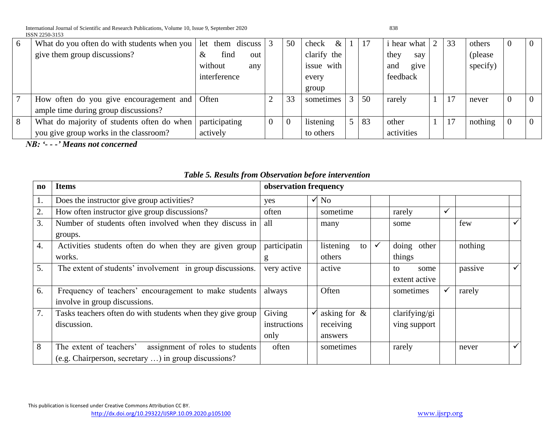International Journal of Scientific and Research Publications, Volume 10, Issue 9, September 2020 838 ISSN 2250-3153

| 6 | What do you often do with students when you | let them discuss $\vert 3 \vert$ | 50       | check<br>$\&$ |    | <i>i</i> hear what | 2 | 33 | others   | $\overline{0}$ |
|---|---------------------------------------------|----------------------------------|----------|---------------|----|--------------------|---|----|----------|----------------|
|   | give them group discussions?                | find<br>&<br>out                 |          | clarify the   |    | they<br>say        |   |    | (please) |                |
|   |                                             | without<br>any                   |          | issue with    |    | give<br>and        |   |    | specify) |                |
|   |                                             | interference                     |          | every         |    | feedback           |   |    |          |                |
|   |                                             |                                  |          | group         |    |                    |   |    |          |                |
| 7 | How often do you give encouragement and     | Often                            | 33       | sometimes     | 50 | rarely             |   |    | never    | $\overline{0}$ |
|   | ample time during group discussions?        |                                  |          |               |    |                    |   |    |          |                |
| 8 | What do majority of students often do when  | participating                    | $\Omega$ | listening     | 83 | other              |   | 17 | nothing  | $\overline{0}$ |
|   | you give group works in the classroom?      | actively                         |          | to others     |    | activities         |   |    |          |                |

*NB: '- - -' Means not concerned*

| $\mathbf{n}\mathbf{o}$ | <b>Items</b>                                               | observation frequency |                 |              |               |              |         |              |
|------------------------|------------------------------------------------------------|-----------------------|-----------------|--------------|---------------|--------------|---------|--------------|
| 1.                     | Does the instructor give group activities?                 | yes                   | $\sqrt{N_0}$    |              |               |              |         |              |
| 2.                     | How often instructor give group discussions?               | often                 | sometime        |              | rarely        | $\checkmark$ |         |              |
| 3.                     | Number of students often involved when they discuss in     | all                   | many            |              | some          |              | few     | $\checkmark$ |
|                        | groups.                                                    |                       |                 |              |               |              |         |              |
| $\overline{4}$ .       | Activities students often do when they are given group     | participatin          | listening<br>to | $\checkmark$ | doing other   |              | nothing |              |
|                        | works.                                                     | g                     | others          |              | things        |              |         |              |
| 5.                     | The extent of students' involvement in group discussions.  | very active           | active          |              | to<br>some    |              | passive | $\checkmark$ |
|                        |                                                            |                       |                 |              | extent active |              |         |              |
| 6.                     | Frequency of teachers' encouragement to make students      | always                | Often           |              | sometimes     | $\checkmark$ | rarely  |              |
|                        | involve in group discussions.                              |                       |                 |              |               |              |         |              |
| 7.                     | Tasks teachers often do with students when they give group | Giving                | asking for $\&$ |              | clarifying/gi |              |         |              |
|                        | discussion.                                                | instructions          | receiving       |              | ving support  |              |         |              |
|                        |                                                            | only                  | answers         |              |               |              |         |              |
| 8                      | assignment of roles to students<br>The extent of teachers' | often                 | sometimes       |              | rarely        |              | never   | $\checkmark$ |
|                        | (e.g. Chairperson, secretary ) in group discussions?       |                       |                 |              |               |              |         |              |

#### *Table 5. Results from Observation before intervention*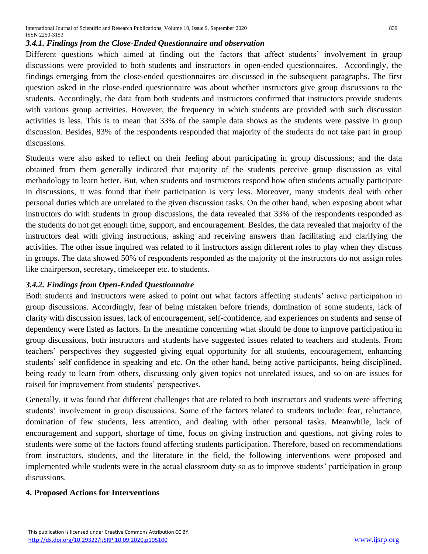#### *3.4.1. Findings from the Close-Ended Questionnaire and observation*

Different questions which aimed at finding out the factors that affect students' involvement in group discussions were provided to both students and instructors in open-ended questionnaires. Accordingly, the findings emerging from the close-ended questionnaires are discussed in the subsequent paragraphs. The first question asked in the close-ended questionnaire was about whether instructors give group discussions to the students. Accordingly, the data from both students and instructors confirmed that instructors provide students with various group activities. However, the frequency in which students are provided with such discussion activities is less. This is to mean that 33% of the sample data shows as the students were passive in group discussion. Besides, 83% of the respondents responded that majority of the students do not take part in group discussions.

Students were also asked to reflect on their feeling about participating in group discussions; and the data obtained from them generally indicated that majority of the students perceive group discussion as vital methodology to learn better. But, when students and instructors respond how often students actually participate in discussions, it was found that their participation is very less. Moreover, many students deal with other personal duties which are unrelated to the given discussion tasks. On the other hand, when exposing about what instructors do with students in group discussions, the data revealed that 33% of the respondents responded as the students do not get enough time, support, and encouragement. Besides, the data revealed that majority of the instructors deal with giving instructions, asking and receiving answers than facilitating and clarifying the activities. The other issue inquired was related to if instructors assign different roles to play when they discuss in groups. The data showed 50% of respondents responded as the majority of the instructors do not assign roles like chairperson, secretary, timekeeper etc. to students.

#### *3.4.2. Findings from Open-Ended Questionnaire*

Both students and instructors were asked to point out what factors affecting students' active participation in group discussions. Accordingly, fear of being mistaken before friends, domination of some students, lack of clarity with discussion issues, lack of encouragement, self-confidence, and experiences on students and sense of dependency were listed as factors. In the meantime concerning what should be done to improve participation in group discussions, both instructors and students have suggested issues related to teachers and students. From teachers' perspectives they suggested giving equal opportunity for all students, encouragement, enhancing students' self confidence in speaking and etc. On the other hand, being active participants, being disciplined, being ready to learn from others, discussing only given topics not unrelated issues, and so on are issues for raised for improvement from students' perspectives.

Generally, it was found that different challenges that are related to both instructors and students were affecting students' involvement in group discussions. Some of the factors related to students include: fear, reluctance, domination of few students, less attention, and dealing with other personal tasks. Meanwhile, lack of encouragement and support, shortage of time, focus on giving instruction and questions, not giving roles to students were some of the factors found affecting students participation. Therefore, based on recommendations from instructors, students, and the literature in the field, the following interventions were proposed and implemented while students were in the actual classroom duty so as to improve students' participation in group discussions.

#### **4. Proposed Actions for Interventions**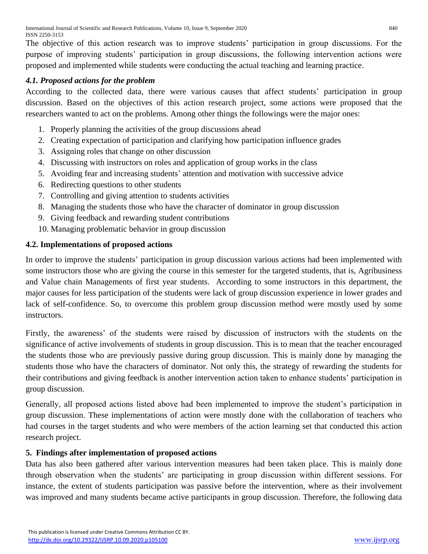The objective of this action research was to improve students' participation in group discussions. For the purpose of improving students' participation in group discussions, the following intervention actions were proposed and implemented while students were conducting the actual teaching and learning practice.

## *4.1. Proposed actions for the problem*

According to the collected data, there were various causes that affect students' participation in group discussion. Based on the objectives of this action research project, some actions were proposed that the researchers wanted to act on the problems. Among other things the followings were the major ones:

- 1. Properly planning the activities of the group discussions ahead
- 2. Creating expectation of participation and clarifying how participation influence grades
- 3. Assigning roles that change on other discussion
- 4. Discussing with instructors on roles and application of group works in the class
- 5. Avoiding fear and increasing students' attention and motivation with successive advice
- 6. Redirecting questions to other students
- 7. Controlling and giving attention to students activities
- 8. Managing the students those who have the character of dominator in group discussion
- 9. Giving feedback and rewarding student contributions
- 10. Managing problematic behavior in group discussion

### **4.2. Implementations of proposed actions**

In order to improve the students' participation in group discussion various actions had been implemented with some instructors those who are giving the course in this semester for the targeted students, that is, Agribusiness and Value chain Managements of first year students. According to some instructors in this department, the major causes for less participation of the students were lack of group discussion experience in lower grades and lack of self-confidence. So, to overcome this problem group discussion method were mostly used by some instructors.

Firstly, the awareness' of the students were raised by discussion of instructors with the students on the significance of active involvements of students in group discussion. This is to mean that the teacher encouraged the students those who are previously passive during group discussion. This is mainly done by managing the students those who have the characters of dominator. Not only this, the strategy of rewarding the students for their contributions and giving feedback is another intervention action taken to enhance students' participation in group discussion.

Generally, all proposed actions listed above had been implemented to improve the student's participation in group discussion. These implementations of action were mostly done with the collaboration of teachers who had courses in the target students and who were members of the action learning set that conducted this action research project.

#### **5. Findings after implementation of proposed actions**

Data has also been gathered after various intervention measures had been taken place. This is mainly done through observation when the students' are participating in group discussion within different sessions. For instance, the extent of students participation was passive before the intervention, where as their involvement was improved and many students became active participants in group discussion. Therefore, the following data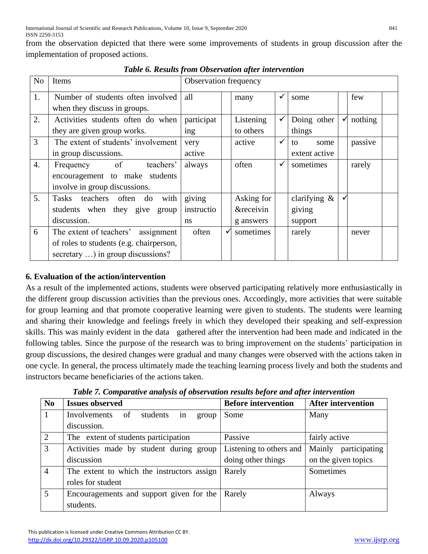from the observation depicted that there were some improvements of students in group discussion after the implementation of proposed actions.

| N <sub>o</sub>   | Items                                   | Observation frequency   |              |                      |              |                 |   |         |  |
|------------------|-----------------------------------------|-------------------------|--------------|----------------------|--------------|-----------------|---|---------|--|
| 1.               | Number of students often involved       | all                     |              | many                 | ✓            | some            |   | few     |  |
|                  | when they discuss in groups.            |                         |              |                      |              |                 |   |         |  |
| 2.               | Activities students often do when       | participat              |              | Listening            | ✓            | Doing other     | ٧ | nothing |  |
|                  | they are given group works.             | ing                     |              | to others            |              | things          |   |         |  |
| 3                | The extent of students' involvement     | very                    |              | active               | ✓            | to<br>some      |   | passive |  |
|                  | in group discussions.                   | extent active<br>active |              |                      |              |                 |   |         |  |
| $\overline{4}$ . | <sub>of</sub><br>teachers'<br>Frequency | always                  |              | often                | $\checkmark$ | sometimes       |   | rarely  |  |
|                  | encouragement to make students          |                         |              |                      |              |                 |   |         |  |
|                  | involve in group discussions.           |                         |              |                      |              |                 |   |         |  |
| 5.               | Tasks teachers often do<br>with         | giving                  |              | Asking for           |              | clarifying $\&$ |   |         |  |
|                  | students when they give group           | instructio              |              | <i>&amp;receivin</i> |              | giving          |   |         |  |
|                  | discussion.                             | ns                      |              | g answers            |              | support         |   |         |  |
| 6                | The extent of teachers' assignment      | often                   | $\checkmark$ | sometimes            |              | rarely          |   | never   |  |
|                  | of roles to students (e.g. chairperson, |                         |              |                      |              |                 |   |         |  |
|                  | secretary ) in group discussions?       |                         |              |                      |              |                 |   |         |  |

*Table 6. Results from Observation after intervention*

# **6. Evaluation of the action/intervention**

As a result of the implemented actions, students were observed participating relatively more enthusiastically in the different group discussion activities than the previous ones. Accordingly, more activities that were suitable for group learning and that promote cooperative learning were given to students. The students were learning and sharing their knowledge and feelings freely in which they developed their speaking and self-expression skills. This was mainly evident in the data gathered after the intervention had been made and indicated in the following tables. Since the purpose of the research was to bring improvement on the students' participation in group discussions, the desired changes were gradual and many changes were observed with the actions taken in one cycle. In general, the process ultimately made the teaching learning process lively and both the students and instructors became beneficiaries of the actions taken.

|                | Twore it comparative and pool of ooder ranger found outer and a professional reserve to |                            |                           |  |  |  |  |  |  |
|----------------|-----------------------------------------------------------------------------------------|----------------------------|---------------------------|--|--|--|--|--|--|
| N <sub>0</sub> | <b>Issues observed</b>                                                                  | <b>Before intervention</b> | <b>After intervention</b> |  |  |  |  |  |  |
|                | students<br>Involvements<br>of<br>group<br>1n                                           | Some                       | Many                      |  |  |  |  |  |  |
|                | discussion.                                                                             |                            |                           |  |  |  |  |  |  |
| $\overline{2}$ | The extent of students participation                                                    | Passive                    | fairly active             |  |  |  |  |  |  |
| 3              | Activities made by student during group                                                 | Listening to others and    | Mainly participating      |  |  |  |  |  |  |
|                | discussion                                                                              | doing other things         | on the given topics       |  |  |  |  |  |  |
| $\overline{4}$ | The extent to which the instructors assign                                              | Rarely                     | Sometimes                 |  |  |  |  |  |  |
|                | roles for student                                                                       |                            |                           |  |  |  |  |  |  |
| 5              | Encouragements and support given for the                                                | Rarely                     | Always                    |  |  |  |  |  |  |
|                | students.                                                                               |                            |                           |  |  |  |  |  |  |

*Table 7. Comparative analysis of observation results before and after intervention*